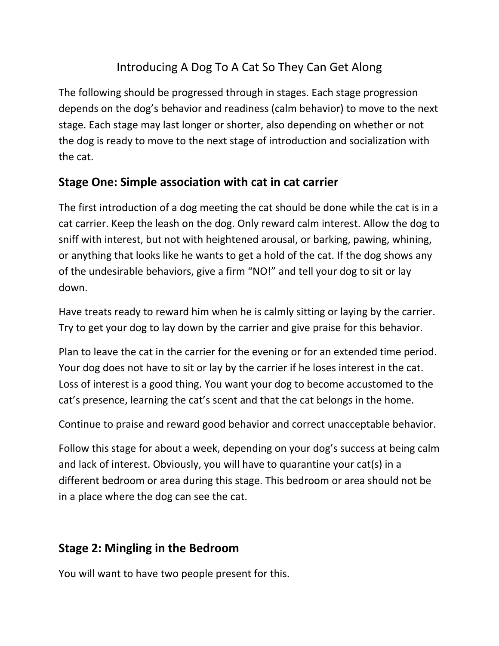## Introducing A Dog To A Cat So They Can Get Along

The following should be progressed through in stages. Each stage progression depends on the dog's behavior and readiness (calm behavior) to move to the next stage. Each stage may last longer or shorter, also depending on whether or not the dog is ready to move to the next stage of introduction and socialization with the cat.

## **Stage One: Simple association with cat in cat carrier**

The first introduction of a dog meeting the cat should be done while the cat is in a cat carrier. Keep the leash on the dog. Only reward calm interest. Allow the dog to sniff with interest, but not with heightened arousal, or barking, pawing, whining, or anything that looks like he wants to get a hold of the cat. If the dog shows any of the undesirable behaviors, give a firm "NO!" and tell your dog to sit or lay down.

Have treats ready to reward him when he is calmly sitting or laying by the carrier. Try to get your dog to lay down by the carrier and give praise for this behavior.

Plan to leave the cat in the carrier for the evening or for an extended time period. Your dog does not have to sit or lay by the carrier if he loses interest in the cat. Loss of interest is a good thing. You want your dog to become accustomed to the cat's presence, learning the cat's scent and that the cat belongs in the home.

Continue to praise and reward good behavior and correct unacceptable behavior.

Follow this stage for about a week, depending on your dog's success at being calm and lack of interest. Obviously, you will have to quarantine your cat(s) in a different bedroom or area during this stage. This bedroom or area should not be in a place where the dog can see the cat.

## **Stage 2: Mingling in the Bedroom**

You will want to have two people present for this.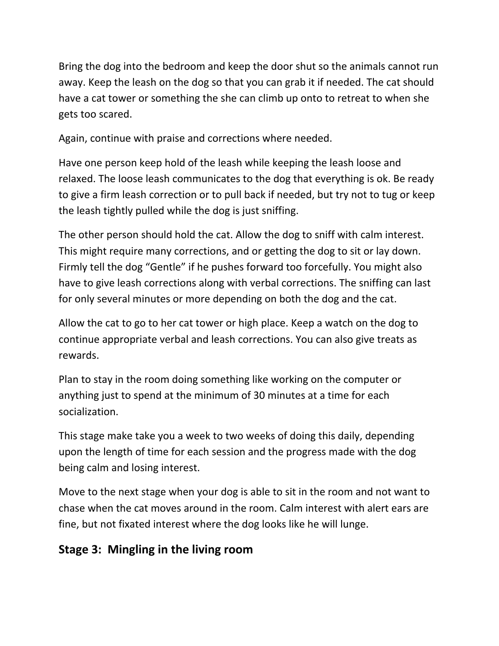Bring the dog into the bedroom and keep the door shut so the animals cannot run away. Keep the leash on the dog so that you can grab it if needed. The cat should have a cat tower or something the she can climb up onto to retreat to when she gets too scared.

Again, continue with praise and corrections where needed.

Have one person keep hold of the leash while keeping the leash loose and relaxed. The loose leash communicates to the dog that everything is ok. Be ready to give a firm leash correction or to pull back if needed, but try not to tug or keep the leash tightly pulled while the dog is just sniffing.

The other person should hold the cat. Allow the dog to sniff with calm interest. This might require many corrections, and or getting the dog to sit or lay down. Firmly tell the dog "Gentle" if he pushes forward too forcefully. You might also have to give leash corrections along with verbal corrections. The sniffing can last for only several minutes or more depending on both the dog and the cat.

Allow the cat to go to her cat tower or high place. Keep a watch on the dog to continue appropriate verbal and leash corrections. You can also give treats as rewards.

Plan to stay in the room doing something like working on the computer or anything just to spend at the minimum of 30 minutes at a time for each socialization.

This stage make take you a week to two weeks of doing this daily, depending upon the length of time for each session and the progress made with the dog being calm and losing interest.

Move to the next stage when your dog is able to sit in the room and not want to chase when the cat moves around in the room. Calm interest with alert ears are fine, but not fixated interest where the dog looks like he will lunge.

## **Stage 3: Mingling in the living room**